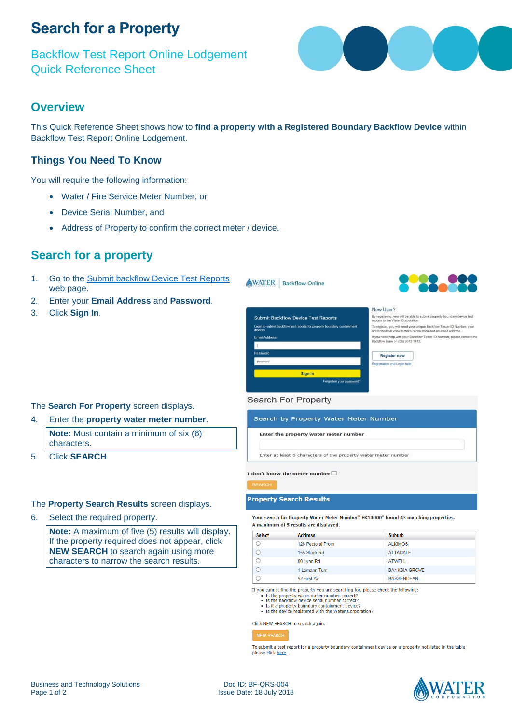## **Search for a Property**

Backflow Test Report Online Lodgement Quick Reference Sheet



## **Overview**

This Quick Reference Sheet shows how to **find a property with a Registered Boundary Backflow Device** within Backflow Test Report Online Lodgement.

## **Things You Need To Know**

You will require the following information:

- Water / Fire Service Meter Number, or
- Device Serial Number, and
- Address of Property to confirm the correct meter / device.

## **Search for a property**

- 1. Go to the [Submit backflow Device Test Reports](https://backflow.watercorporation.com.au/tws-web-external/login/login.jsp?TYPE=33554433&REALMOID=06-1b50ea8a-f99a-44dd-b390-15938e30e000&GUID=0&SMAUTHREASON=0&METHOD=GET&SMAGENTNAME=-SM-KTWKQm%2fxdllsqyz3xS50hPlIraOg7LSDpMCwDNE1%2bH6uxkEKENOnksD4lki3nbHZ&TARGET=-SM-https%3a%2f%2fbackflow%2ewatercorporation%2ecom%2eau%2ftws--web--external) web page.
- 2. Enter your **Email Address** and **Password**.
- 3. Click **Sign In**.



### The **Search For Property** screen displays.

4. Enter the **property water meter number**.

**Note:** Must contain a minimum of six (6) characters.

5. Click **SEARCH**.

### The **Property Search Results** screen displays.

6. Select the required property.

**Note:** A maximum of five (5) results will display. If the property required does not appear, click **NEW SEARCH** to search again using more characters to narrow the search results.

#### **Search For Property**

## Search by Property Water Meter Number Enter the property water meter number

Enter at least 6 characters of the property water meter number

I don't know the meter number  $\square$ 

#### **Property Search Results**

Your search for Property Water Meter Number" EK14000" found 43 matching properties. A maximum of 5 results are displayed.

| <b>Select</b> | <b>Address</b>    | <b>Suburb</b>        |
|---------------|-------------------|----------------------|
|               | 126 Pectoral Prom | <b>ALKIMOS</b>       |
|               | 155 Stock Rd      | <b>ATTADALE</b>      |
|               | 80 Lyon Rd        | <b>ATWELL</b>        |
|               | 1 Lemann Turn     | <b>BANKSIA GROVE</b> |
|               | 92 First Av       | <b>BASSENDEAN</b>    |

If you cannot find the property you are searching for, please check the following:

- 
- $\bullet$  Is the property water meter number correct?<br>
Is the backflow device serial number correct?<br>
Is the backflow device serial number correct?<br>
Is it a property boundary containment device?<br>
Is the device register
- 

Click NEW SEARCH to search again.

#### NEW SEARCH

To submit a test report for a property boundary containment device on a property not listed in the table, please click here.